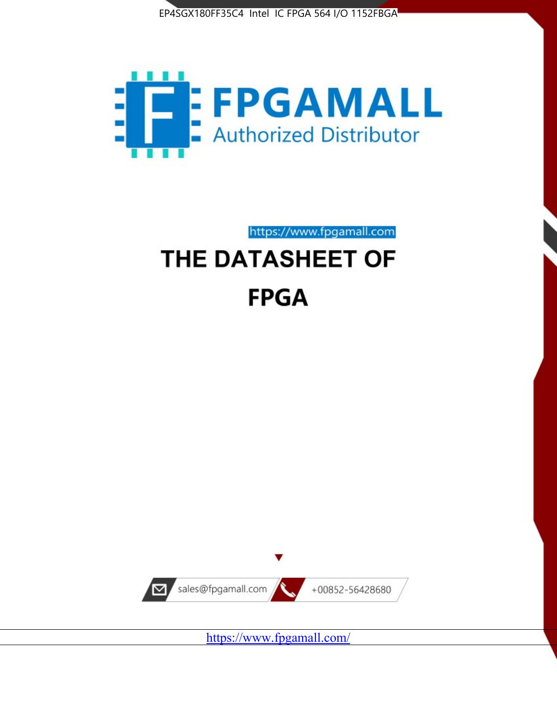



https://www.fpgamall.com

# THE DATASHEET OF **FPGA**



<https://www.fpgamall.com/>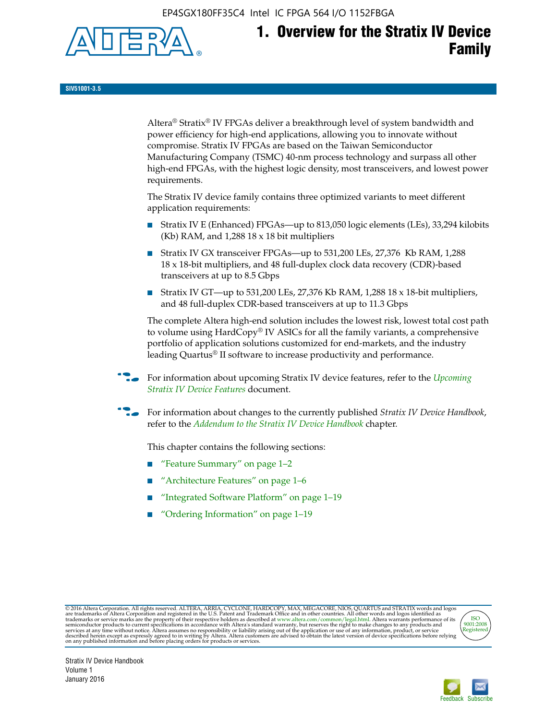EP4SGX180FF35C4 Intel IC FPGA 564 I/O 1152FBGA



# **1. Overview for the Stratix IV Device Family**

**SIV51001-3.5**

Altera® Stratix® IV FPGAs deliver a breakthrough level of system bandwidth and power efficiency for high-end applications, allowing you to innovate without compromise. Stratix IV FPGAs are based on the Taiwan Semiconductor Manufacturing Company (TSMC) 40-nm process technology and surpass all other high-end FPGAs, with the highest logic density, most transceivers, and lowest power requirements.

The Stratix IV device family contains three optimized variants to meet different application requirements:

- Stratix IV E (Enhanced) FPGAs—up to 813,050 logic elements (LEs), 33,294 kilobits (Kb) RAM, and 1,288 18 x 18 bit multipliers
- Stratix IV GX transceiver FPGAs—up to 531,200 LEs, 27,376 Kb RAM, 1,288 18 x 18-bit multipliers, and 48 full-duplex clock data recovery (CDR)-based transceivers at up to 8.5 Gbps
- Stratix IV GT—up to 531,200 LEs, 27,376 Kb RAM, 1,288 18 x 18-bit multipliers, and 48 full-duplex CDR-based transceivers at up to 11.3 Gbps

The complete Altera high-end solution includes the lowest risk, lowest total cost path to volume using HardCopy® IV ASICs for all the family variants, a comprehensive portfolio of application solutions customized for end-markets, and the industry leading Quartus® II software to increase productivity and performance.

f For information about upcoming Stratix IV device features, refer to the *[Upcoming](http://www.altera.com/literature/hb/stratix-iv/uf01001.pdf?GSA_pos=2&WT.oss_r=1&WT.oss=upcoming)  [Stratix IV Device Features](http://www.altera.com/literature/hb/stratix-iv/uf01001.pdf?GSA_pos=2&WT.oss_r=1&WT.oss=upcoming)* document.

f For information about changes to the currently published *Stratix IV Device Handbook*, refer to the *[Addendum to the Stratix IV Device Handbook](http://www.altera.com/literature/hb/stratix-iv/stx4_siv54002.pdf)* chapter.

This chapter contains the following sections:

- "Feature Summary" on page 1–2
- "Architecture Features" on page 1–6
- "Integrated Software Platform" on page 1–19
- "Ordering Information" on page 1–19

@2016 Altera Corporation. All rights reserved. ALTERA, ARRIA, CYCLONE, HARDCOPY, MAX, MEGACORE, NIOS, QUARTUS and STRATIX words and logos are trademarks of Altera Corporation and registered in the U.S. Patent and Trademark



Stratix IV Device Handbook Volume 1 January 2016

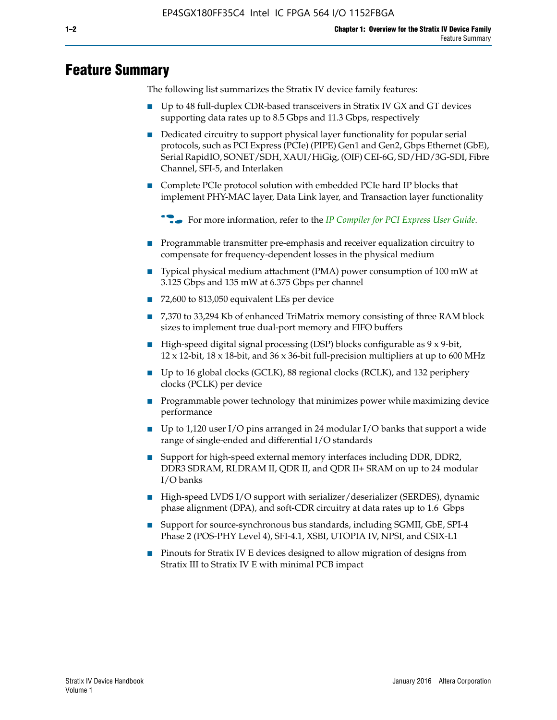# **Feature Summary**

The following list summarizes the Stratix IV device family features:

- Up to 48 full-duplex CDR-based transceivers in Stratix IV GX and GT devices supporting data rates up to 8.5 Gbps and 11.3 Gbps, respectively
- Dedicated circuitry to support physical layer functionality for popular serial protocols, such as PCI Express (PCIe) (PIPE) Gen1 and Gen2, Gbps Ethernet (GbE), Serial RapidIO, SONET/SDH, XAUI/HiGig, (OIF) CEI-6G, SD/HD/3G-SDI, Fibre Channel, SFI-5, and Interlaken
- Complete PCIe protocol solution with embedded PCIe hard IP blocks that implement PHY-MAC layer, Data Link layer, and Transaction layer functionality

**For more information, refer to the** *[IP Compiler for PCI Express User Guide](http://www.altera.com/literature/ug/ug_pci_express.pdf)***.** 

- Programmable transmitter pre-emphasis and receiver equalization circuitry to compensate for frequency-dependent losses in the physical medium
- Typical physical medium attachment (PMA) power consumption of 100 mW at 3.125 Gbps and 135 mW at 6.375 Gbps per channel
- 72,600 to 813,050 equivalent LEs per device
- 7,370 to 33,294 Kb of enhanced TriMatrix memory consisting of three RAM block sizes to implement true dual-port memory and FIFO buffers
- High-speed digital signal processing (DSP) blocks configurable as 9 x 9-bit,  $12 \times 12$ -bit,  $18 \times 18$ -bit, and  $36 \times 36$ -bit full-precision multipliers at up to 600 MHz
- Up to 16 global clocks (GCLK), 88 regional clocks (RCLK), and 132 periphery clocks (PCLK) per device
- Programmable power technology that minimizes power while maximizing device performance
- Up to 1,120 user I/O pins arranged in 24 modular I/O banks that support a wide range of single-ended and differential I/O standards
- Support for high-speed external memory interfaces including DDR, DDR2, DDR3 SDRAM, RLDRAM II, QDR II, and QDR II+ SRAM on up to 24 modular I/O banks
- High-speed LVDS I/O support with serializer/deserializer (SERDES), dynamic phase alignment (DPA), and soft-CDR circuitry at data rates up to 1.6 Gbps
- Support for source-synchronous bus standards, including SGMII, GbE, SPI-4 Phase 2 (POS-PHY Level 4), SFI-4.1, XSBI, UTOPIA IV, NPSI, and CSIX-L1
- Pinouts for Stratix IV E devices designed to allow migration of designs from Stratix III to Stratix IV E with minimal PCB impact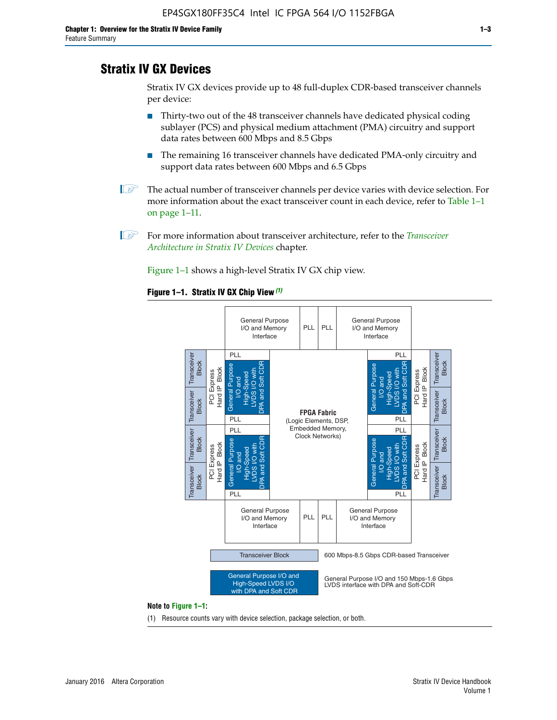# **Stratix IV GX Devices**

Stratix IV GX devices provide up to 48 full-duplex CDR-based transceiver channels per device:

- Thirty-two out of the 48 transceiver channels have dedicated physical coding sublayer (PCS) and physical medium attachment (PMA) circuitry and support data rates between 600 Mbps and 8.5 Gbps
- The remaining 16 transceiver channels have dedicated PMA-only circuitry and support data rates between 600 Mbps and 6.5 Gbps
- **1 The actual number of transceiver channels per device varies with device selection. For** more information about the exact transceiver count in each device, refer to Table 1–1 on page 1–11.
- 1 For more information about transceiver architecture, refer to the *[Transceiver](http://www.altera.com/literature/hb/stratix-iv/stx4_siv52001.pdf)  [Architecture in Stratix IV Devices](http://www.altera.com/literature/hb/stratix-iv/stx4_siv52001.pdf)* chapter.

Figure 1–1 shows a high-level Stratix IV GX chip view.

#### **Figure 1–1. Stratix IV GX Chip View** *(1)*



#### **Note to Figure 1–1:**

(1) Resource counts vary with device selection, package selection, or both.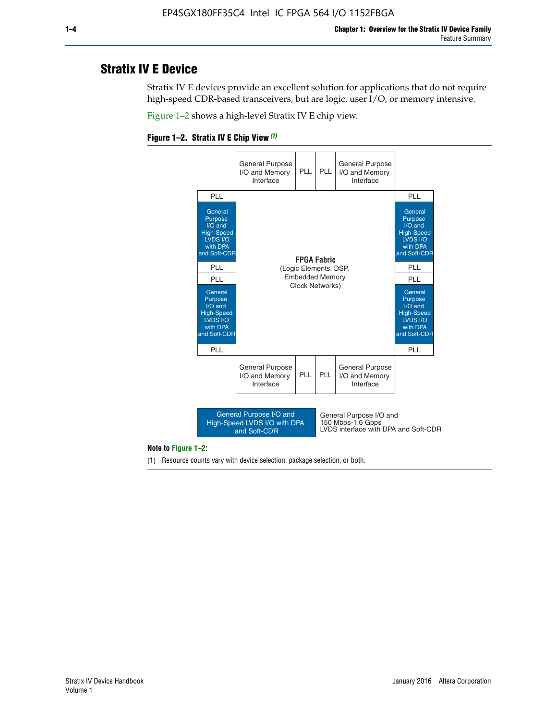# **Stratix IV E Device**

Stratix IV E devices provide an excellent solution for applications that do not require high-speed CDR-based transceivers, but are logic, user I/O, or memory intensive.

Figure 1–2 shows a high-level Stratix IV E chip view.





#### **Note to Figure 1–2:**

(1) Resource counts vary with device selection, package selection, or both.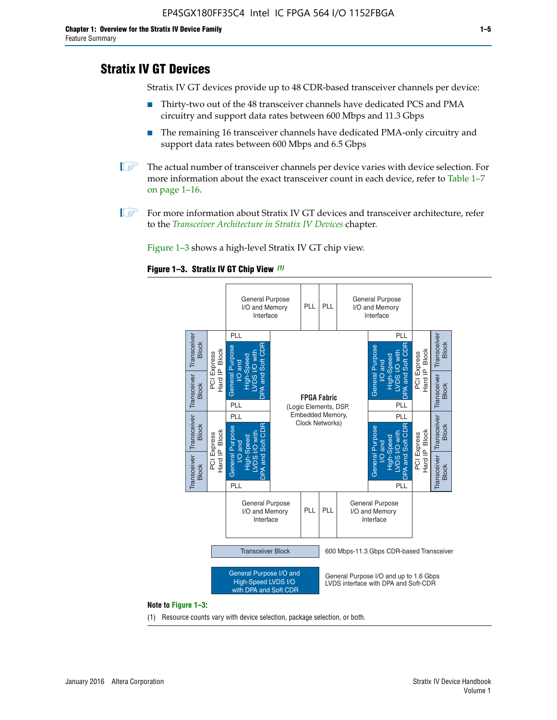# **Stratix IV GT Devices**

Stratix IV GT devices provide up to 48 CDR-based transceiver channels per device:

- Thirty-two out of the 48 transceiver channels have dedicated PCS and PMA circuitry and support data rates between 600 Mbps and 11.3 Gbps
- The remaining 16 transceiver channels have dedicated PMA-only circuitry and support data rates between 600 Mbps and 6.5 Gbps
- **1** The actual number of transceiver channels per device varies with device selection. For more information about the exact transceiver count in each device, refer to Table 1–7 on page 1–16.
- $\mathbb{I}$  For more information about Stratix IV GT devices and transceiver architecture, refer to the *[Transceiver Architecture in Stratix IV Devices](http://www.altera.com/literature/hb/stratix-iv/stx4_siv52001.pdf)* chapter.

Figure 1–3 shows a high-level Stratix IV GT chip view.

#### **Figure 1–3. Stratix IV GT Chip View** *(1)*



(1) Resource counts vary with device selection, package selection, or both.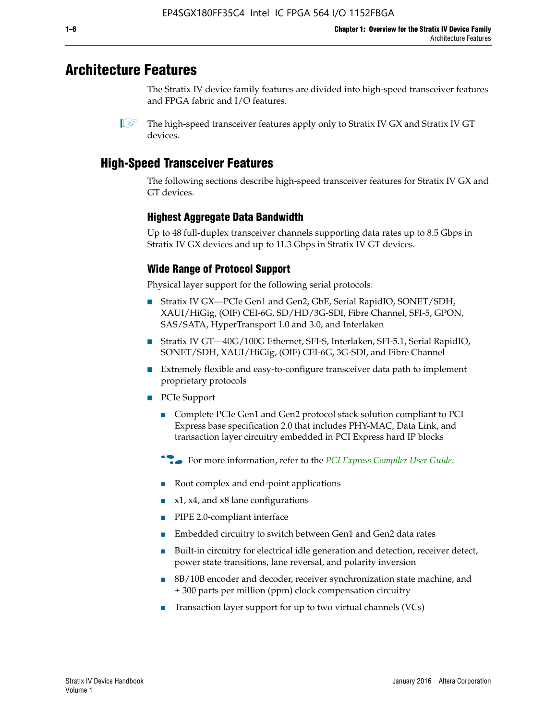# **Architecture Features**

The Stratix IV device family features are divided into high-speed transceiver features and FPGA fabric and I/O features.

# **High-Speed Transceiver Features**

The following sections describe high-speed transceiver features for Stratix IV GX and GT devices.

### **Highest Aggregate Data Bandwidth**

Up to 48 full-duplex transceiver channels supporting data rates up to 8.5 Gbps in Stratix IV GX devices and up to 11.3 Gbps in Stratix IV GT devices.

### **Wide Range of Protocol Support**

Physical layer support for the following serial protocols:

- Stratix IV GX—PCIe Gen1 and Gen2, GbE, Serial RapidIO, SONET/SDH, XAUI/HiGig, (OIF) CEI-6G, SD/HD/3G-SDI, Fibre Channel, SFI-5, GPON, SAS/SATA, HyperTransport 1.0 and 3.0, and Interlaken
- Stratix IV GT—40G/100G Ethernet, SFI-S, Interlaken, SFI-5.1, Serial RapidIO, SONET/SDH, XAUI/HiGig, (OIF) CEI-6G, 3G-SDI, and Fibre Channel
- Extremely flexible and easy-to-configure transceiver data path to implement proprietary protocols
- PCIe Support
	- Complete PCIe Gen1 and Gen2 protocol stack solution compliant to PCI Express base specification 2.0 that includes PHY-MAC, Data Link, and transaction layer circuitry embedded in PCI Express hard IP blocks
	- **For more information, refer to the [PCI Express Compiler User Guide](http://www.altera.com/literature/ug/ug_pci_express.pdf).**
	- Root complex and end-point applications
	- $x1, x4,$  and  $x8$  lane configurations
	- PIPE 2.0-compliant interface
	- Embedded circuitry to switch between Gen1 and Gen2 data rates
	- Built-in circuitry for electrical idle generation and detection, receiver detect, power state transitions, lane reversal, and polarity inversion
	- 8B/10B encoder and decoder, receiver synchronization state machine, and ± 300 parts per million (ppm) clock compensation circuitry
	- Transaction layer support for up to two virtual channels (VCs)

 $\mathbb{I}$  The high-speed transceiver features apply only to Stratix IV GX and Stratix IV GT devices.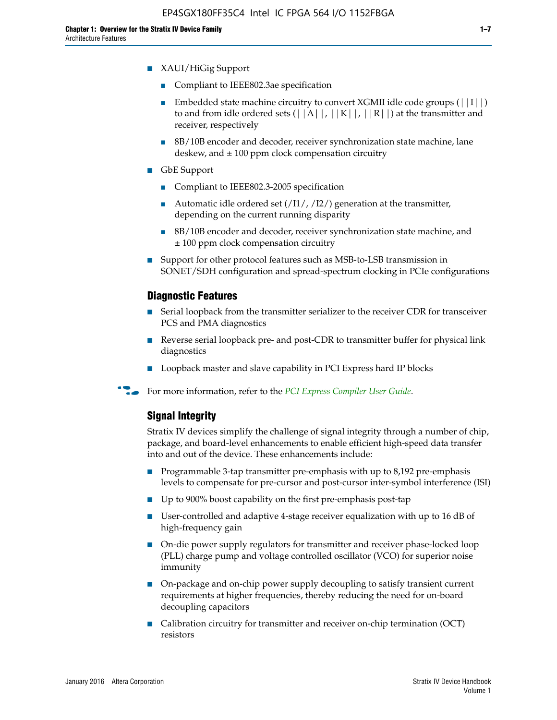- XAUI/HiGig Support
	- Compliant to IEEE802.3ae specification
	- **■** Embedded state machine circuitry to convert XGMII idle code groups  $(|11|)$ to and from idle ordered sets  $(|A|, |K|, |R|)$  at the transmitter and receiver, respectively
	- 8B/10B encoder and decoder, receiver synchronization state machine, lane deskew, and  $\pm 100$  ppm clock compensation circuitry
- GbE Support
	- Compliant to IEEE802.3-2005 specification
	- Automatic idle ordered set  $(111/112/1)$  generation at the transmitter, depending on the current running disparity
	- 8B/10B encoder and decoder, receiver synchronization state machine, and ± 100 ppm clock compensation circuitry
- Support for other protocol features such as MSB-to-LSB transmission in SONET/SDH configuration and spread-spectrum clocking in PCIe configurations

#### **Diagnostic Features**

- Serial loopback from the transmitter serializer to the receiver CDR for transceiver PCS and PMA diagnostics
- Reverse serial loopback pre- and post-CDR to transmitter buffer for physical link diagnostics
- Loopback master and slave capability in PCI Express hard IP blocks
- **For more information, refer to the** *[PCI Express Compiler User Guide](http://www.altera.com/literature/ug/ug_pci_express.pdf)***.**

#### **Signal Integrity**

Stratix IV devices simplify the challenge of signal integrity through a number of chip, package, and board-level enhancements to enable efficient high-speed data transfer into and out of the device. These enhancements include:

- Programmable 3-tap transmitter pre-emphasis with up to 8,192 pre-emphasis levels to compensate for pre-cursor and post-cursor inter-symbol interference (ISI)
- Up to 900% boost capability on the first pre-emphasis post-tap
- User-controlled and adaptive 4-stage receiver equalization with up to 16 dB of high-frequency gain
- On-die power supply regulators for transmitter and receiver phase-locked loop (PLL) charge pump and voltage controlled oscillator (VCO) for superior noise immunity
- On-package and on-chip power supply decoupling to satisfy transient current requirements at higher frequencies, thereby reducing the need for on-board decoupling capacitors
- Calibration circuitry for transmitter and receiver on-chip termination (OCT) resistors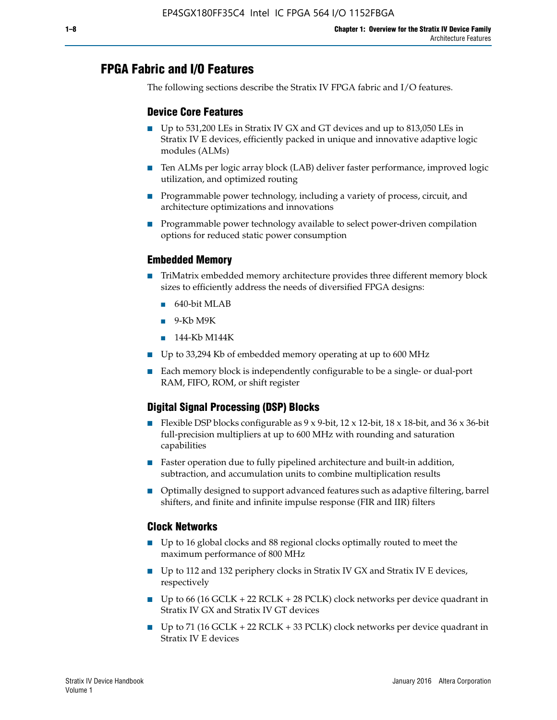# **FPGA Fabric and I/O Features**

The following sections describe the Stratix IV FPGA fabric and I/O features.

### **Device Core Features**

- Up to 531,200 LEs in Stratix IV GX and GT devices and up to 813,050 LEs in Stratix IV E devices, efficiently packed in unique and innovative adaptive logic modules (ALMs)
- Ten ALMs per logic array block (LAB) deliver faster performance, improved logic utilization, and optimized routing
- Programmable power technology, including a variety of process, circuit, and architecture optimizations and innovations
- Programmable power technology available to select power-driven compilation options for reduced static power consumption

#### **Embedded Memory**

- TriMatrix embedded memory architecture provides three different memory block sizes to efficiently address the needs of diversified FPGA designs:
	- 640-bit MLAB
	- 9-Kb M9K
	- 144-Kb M144K
- Up to 33,294 Kb of embedded memory operating at up to 600 MHz
- Each memory block is independently configurable to be a single- or dual-port RAM, FIFO, ROM, or shift register

### **Digital Signal Processing (DSP) Blocks**

- Flexible DSP blocks configurable as  $9 \times 9$ -bit,  $12 \times 12$ -bit,  $18 \times 18$ -bit, and  $36 \times 36$ -bit full-precision multipliers at up to 600 MHz with rounding and saturation capabilities
- Faster operation due to fully pipelined architecture and built-in addition, subtraction, and accumulation units to combine multiplication results
- Optimally designed to support advanced features such as adaptive filtering, barrel shifters, and finite and infinite impulse response (FIR and IIR) filters

#### **Clock Networks**

- Up to 16 global clocks and 88 regional clocks optimally routed to meet the maximum performance of 800 MHz
- Up to 112 and 132 periphery clocks in Stratix IV GX and Stratix IV E devices, respectively
- Up to 66 (16 GCLK + 22 RCLK + 28 PCLK) clock networks per device quadrant in Stratix IV GX and Stratix IV GT devices
- Up to 71 (16 GCLK + 22 RCLK + 33 PCLK) clock networks per device quadrant in Stratix IV E devices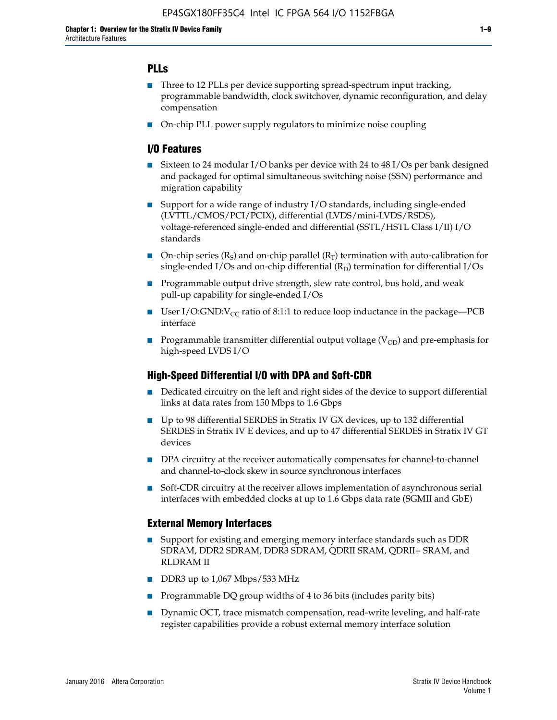### **PLLs**

- Three to 12 PLLs per device supporting spread-spectrum input tracking, programmable bandwidth, clock switchover, dynamic reconfiguration, and delay compensation
- On-chip PLL power supply regulators to minimize noise coupling

#### **I/O Features**

- Sixteen to 24 modular I/O banks per device with 24 to 48 I/Os per bank designed and packaged for optimal simultaneous switching noise (SSN) performance and migration capability
- Support for a wide range of industry I/O standards, including single-ended (LVTTL/CMOS/PCI/PCIX), differential (LVDS/mini-LVDS/RSDS), voltage-referenced single-ended and differential (SSTL/HSTL Class I/II) I/O standards
- **O**n-chip series  $(R_S)$  and on-chip parallel  $(R_T)$  termination with auto-calibration for single-ended I/Os and on-chip differential  $(R_D)$  termination for differential I/Os
- Programmable output drive strength, slew rate control, bus hold, and weak pull-up capability for single-ended I/Os
- User I/O:GND: $V_{CC}$  ratio of 8:1:1 to reduce loop inductance in the package—PCB interface
- **■** Programmable transmitter differential output voltage ( $V_{OD}$ ) and pre-emphasis for high-speed LVDS I/O

#### **High-Speed Differential I/O with DPA and Soft-CDR**

- Dedicated circuitry on the left and right sides of the device to support differential links at data rates from 150 Mbps to 1.6 Gbps
- Up to 98 differential SERDES in Stratix IV GX devices, up to 132 differential SERDES in Stratix IV E devices, and up to 47 differential SERDES in Stratix IV GT devices
- DPA circuitry at the receiver automatically compensates for channel-to-channel and channel-to-clock skew in source synchronous interfaces
- Soft-CDR circuitry at the receiver allows implementation of asynchronous serial interfaces with embedded clocks at up to 1.6 Gbps data rate (SGMII and GbE)

#### **External Memory Interfaces**

- Support for existing and emerging memory interface standards such as DDR SDRAM, DDR2 SDRAM, DDR3 SDRAM, QDRII SRAM, QDRII+ SRAM, and RLDRAM II
- DDR3 up to 1,067 Mbps/533 MHz
- Programmable DQ group widths of 4 to 36 bits (includes parity bits)
- Dynamic OCT, trace mismatch compensation, read-write leveling, and half-rate register capabilities provide a robust external memory interface solution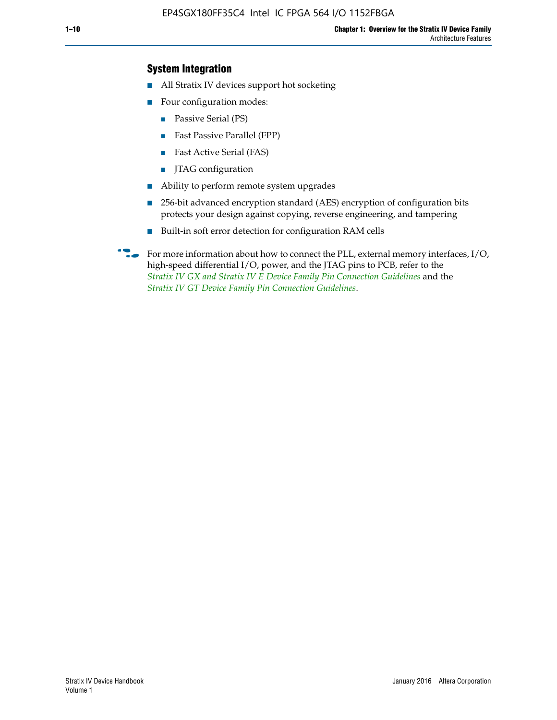### **System Integration**

- All Stratix IV devices support hot socketing
- Four configuration modes:
	- Passive Serial (PS)
	- Fast Passive Parallel (FPP)
	- Fast Active Serial (FAS)
	- JTAG configuration
- Ability to perform remote system upgrades
- 256-bit advanced encryption standard (AES) encryption of configuration bits protects your design against copying, reverse engineering, and tampering
- Built-in soft error detection for configuration RAM cells
- For more information about how to connect the PLL, external memory interfaces,  $I/O$ , high-speed differential I/O, power, and the JTAG pins to PCB, refer to the *[Stratix IV GX and Stratix IV E Device Family Pin Connection Guidelines](http://www.altera.com/literature/dp/stratix4/PCG-01005.pdf)* and the *[Stratix IV GT Device Family Pin Connection Guidelines](http://www.altera.com/literature/dp/stratix4/PCG-01006.pdf)*.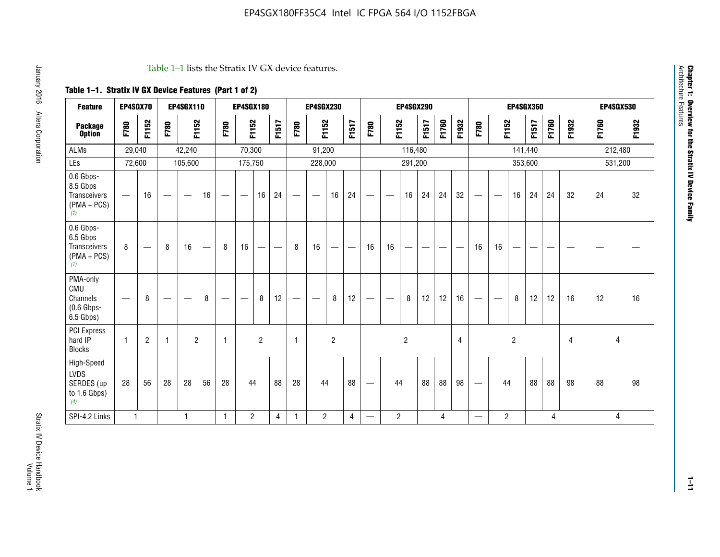#### Table 1–1 lists the Stratix IV GX device features.

## **Table 1–1. Stratix IV GX Device Features (Part 1 of 2)**

| <b>Feature</b>                                                       | EP4SGX70                 |                               |      | <b>EP4SGX110</b>  |                   |      | <b>EP4SGX180</b>                |                |       |                                 | <b>EP4SGX230</b>              |                |                                   |                   |                | <b>EP4SGX290</b>         |                          |       |                |                                   |                                |                | <b>EP4SGX360</b> |       |                |       | <b>EP4SGX530</b> |
|----------------------------------------------------------------------|--------------------------|-------------------------------|------|-------------------|-------------------|------|---------------------------------|----------------|-------|---------------------------------|-------------------------------|----------------|-----------------------------------|-------------------|----------------|--------------------------|--------------------------|-------|----------------|-----------------------------------|--------------------------------|----------------|------------------|-------|----------------|-------|------------------|
| <b>Package</b><br><b>Option</b>                                      | F780                     | F1152                         | F780 | F1152             |                   | F780 | F1152                           |                | F1517 | F780                            | F1152                         |                | F1517                             | F780              | F1152          |                          | F1517                    | F1760 | F1932          | F780                              | F1152                          |                | F1517            | F1760 | F1932          | F1760 | F1932            |
| <b>ALMs</b>                                                          | 29,040                   |                               |      | 42,240            |                   |      | 70,300                          |                |       |                                 | 91,200                        |                |                                   |                   |                | 116,480                  |                          |       |                |                                   |                                | 141,440        |                  |       |                |       | 212,480          |
| LEs                                                                  | 72,600                   |                               |      | 105,600           |                   |      | 175,750                         |                |       |                                 | 228,000                       |                |                                   |                   |                | 291,200                  |                          |       |                |                                   |                                |                | 353,600          |       |                |       | 531,200          |
| 0.6 Gbps-<br>8.5 Gbps<br>Transceivers<br>$(PMA + PCs)$<br>(1)        | $\overline{\phantom{0}}$ | 16                            |      | $\hspace{0.05cm}$ | 16                | —    | $\hspace{0.1mm}-\hspace{0.1mm}$ | 16             | 24    | $\hspace{0.1mm}-\hspace{0.1mm}$ | $\overbrace{\phantom{aaaaa}}$ | 16             | 24                                | $\hspace{0.05cm}$ |                | 16                       | 24                       | 24    | 32             | $\overbrace{\phantom{123221111}}$ | $\overbrace{\phantom{aaaaa}}$  | 16             | 24               | 24    | 32             | 24    | 32               |
| 0.6 Gbps-<br>6.5 Gbps<br><b>Transceivers</b><br>$(PMA + PCs)$<br>(1) | 8                        | $\overbrace{\phantom{aaaaa}}$ | 8    | 16                | $\qquad \qquad -$ | 8    | 16                              | -              | —     | 8                               | 16                            | —              | $\overbrace{\phantom{123221111}}$ | 16                | 16             | $\overline{\phantom{0}}$ | $\overline{\phantom{0}}$ |       |                | 16                                | 16                             | —              |                  |       |                |       |                  |
| PMA-only<br>CMU<br>Channels<br>$(0.6$ Gbps-<br>6.5 Gbps)             |                          | 8                             |      |                   | 8                 | —    | —                               | 8              | 12    |                                 | $\overline{\phantom{m}}$      | 8              | 12                                | $\hspace{0.05cm}$ | -              | 8                        | 12                       | 12    | 16             |                                   | $\qquad \qquad \longleftarrow$ | 8              | 12               | 12    | 16             | 12    | 16               |
| PCI Express<br>hard IP<br><b>Blocks</b>                              | $\mathbf{1}$             | $\overline{c}$                | -1   | $\overline{2}$    |                   | 1    |                                 | $\overline{2}$ |       | $\mathbf{1}$                    |                               | $\overline{c}$ |                                   |                   |                | $\overline{2}$           |                          |       | $\overline{4}$ |                                   |                                | $\overline{c}$ |                  |       | $\overline{4}$ | 4     |                  |
| High-Speed<br><b>LVDS</b><br>SERDES (up<br>to 1.6 Gbps)<br>(4)       | 28                       | 56                            | 28   | 28                | 56                | 28   | 44                              |                | 88    | 28                              | 44                            |                | 88                                | —                 | 44             |                          | 88                       | 88    | 98             |                                   | 44                             |                | 88               | 88    | 98             | 88    | 98               |
| SPI-4.2 Links                                                        | $\mathbf{1}$             |                               |      | 1                 |                   | 1    | $\overline{c}$                  |                | 4     | 1                               | $\overline{2}$                |                | 4                                 | —                 | $\overline{c}$ |                          |                          | 4     |                | $\overline{\phantom{0}}$          | 2                              |                |                  | 4     |                |       | 4                |

Architecture Features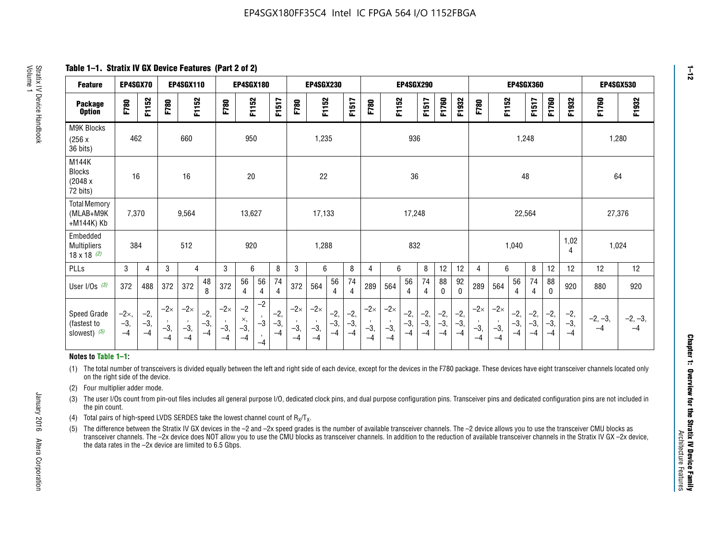**Table 1–1. Stratix IV GX Device Features (Part 2 of 2)**

| <b>Feature</b>                                       | EP4SGX70                |                        |                             | <b>EP4SGX110</b>            |                      |                             | <b>EP4SGX180</b>          |                      |                        |                             | <b>EP4SGX230</b>            |                      |                      |                            |                             | EP4SGX290              |                      |                      |                        |                             |                             |                        | <b>EP4SGX360</b>      |                      |                        | <b>EP4SGX530</b>  |                 |
|------------------------------------------------------|-------------------------|------------------------|-----------------------------|-----------------------------|----------------------|-----------------------------|---------------------------|----------------------|------------------------|-----------------------------|-----------------------------|----------------------|----------------------|----------------------------|-----------------------------|------------------------|----------------------|----------------------|------------------------|-----------------------------|-----------------------------|------------------------|-----------------------|----------------------|------------------------|-------------------|-----------------|
| <b>Package</b><br><b>Option</b>                      | F780                    | F1152                  | F780                        | F1152                       |                      | F780                        | F1152                     |                      | F1517                  | F780                        | F1152                       |                      | F1517                | F780                       | F1152                       |                        | F1517                | F1760                | F1932                  | F780                        | F1152                       |                        | F1517                 | F1760                | F1932                  | F1760             | F1932           |
| M9K Blocks<br>(256x)<br>36 bits)                     | 462                     |                        |                             | 660                         |                      |                             | 950                       |                      |                        |                             | 1,235                       |                      |                      |                            |                             | 936                    |                      |                      |                        |                             |                             | 1,248                  |                       |                      |                        |                   | 1,280           |
| M144K<br><b>Blocks</b><br>(2048 x<br>72 bits)        | 16                      |                        |                             | 16                          |                      |                             | 20                        |                      |                        |                             | 22                          |                      |                      |                            |                             | 36                     |                      |                      |                        |                             |                             | 48                     |                       |                      |                        | 64                |                 |
| <b>Total Memory</b><br>(MLAB+M9K<br>+M144K) Kb       | 7,370                   |                        |                             | 9,564                       |                      |                             | 13,627                    |                      |                        |                             | 17,133                      |                      |                      |                            |                             | 17,248                 |                      |                      |                        |                             |                             | 22,564                 |                       |                      |                        | 27,376            |                 |
| Embedded<br><b>Multipliers</b><br>$18 \times 18$ (2) | 384                     |                        |                             | 512                         |                      |                             | 920                       |                      |                        |                             | 1,288                       |                      |                      |                            |                             | 832                    |                      |                      |                        |                             |                             | 1,040                  |                       |                      | 1,02<br>4              | 1,024             |                 |
| PLLs                                                 | 3                       | $\overline{4}$         | 3                           | 4                           |                      | 3                           | 6                         |                      | 8                      | 3                           | 6                           |                      | 8                    | 4                          | 6                           |                        | 8                    | 12                   | 12                     | 4                           | 6                           |                        | 8                     | 12                   | 12                     | 12                | 12              |
| User $I/Os$ (3)                                      | 372                     | 488                    | 372                         | 372                         | 48<br>8              | 372                         | 56<br>4                   | 56<br>4              | 74<br>4                | 372                         | 564                         | 56<br>$\overline{4}$ | 74<br>$\overline{4}$ | 289                        | 564                         | 56<br>4                | 74<br>4              | 88<br>0              | 92<br>$\mathbf 0$      | 289                         | 564                         | 56<br>4                | 74<br>4               | 88<br>$\mathbf{0}$   | 920                    | 880               | 920             |
| Speed Grade<br>(fastest to<br>slowest) (5)           | $-2x,$<br>$-3,$<br>$-4$ | $-2,$<br>$-3,$<br>$-4$ | $-2\times$<br>$-3,$<br>$-4$ | $-2\times$<br>$-3,$<br>$-4$ | $-2,$<br>-3,<br>$-4$ | $-2\times$<br>$-3,$<br>$-4$ | $-2$<br>×,<br>$-3,$<br>-4 | $-2$<br>$-3$<br>$-4$ | $-2,$<br>$-3,$<br>$-4$ | $-2\times$<br>$-3,$<br>$-4$ | $-2\times$<br>$-3,$<br>$-4$ | $-2,$<br>-3,<br>$-4$ | $-2,$<br>-3,<br>$-4$ | $-2\times$<br>$-3$<br>$-4$ | $-2\times$<br>$-3,$<br>$-4$ | $-2,$<br>$-3,$<br>$-4$ | $-2,$<br>-3,<br>$-4$ | $-2,$<br>-3,<br>$-4$ | $-2,$<br>$-3,$<br>$-4$ | $-2\times$<br>$-3,$<br>$-4$ | $-2\times$<br>$-3,$<br>$-4$ | $-2,$<br>$-3,$<br>$-4$ | $-2,$<br>$-3$<br>$-4$ | $-2,$<br>-3,<br>$-4$ | $-2,$<br>$-3,$<br>$-4$ | $-2, -3,$<br>$-4$ | $-2, -3,$<br>-4 |

#### **Notes to Table 1–1:**

(1) The total number of transceivers is divided equally between the left and right side of each device, except for the devices in the F780 package. These devices have eight transceiver channels located only on the right side of the device.

- (2) Four multiplier adder mode.
- (3) The user I/Os count from pin-out files includes all general purpose I/O, dedicated clock pins, and dual purpose configuration pins. Transceiver pins and dedicated configuration pins are not included in the pin count.
- (4) Total pairs of high-speed LVDS SERDES take the lowest channel count of  $R_X/T_X$ .
- (5) The difference between the Stratix IV GX devices in the –2 and –2x speed grades is the number of available transceiver channels. The –2 device allows you to use the transceiver CMU blocks as transceiver channels. The –2x device does NOT allow you to use the CMU blocks as transceiver channels. In addition to the reduction of available transceiver channels in the Stratix IV GX –2x device, the data rates in the –2x device are limited to 6.5 Gbps.

January 2016 Altera Corporation

Altera Corporation

January 2016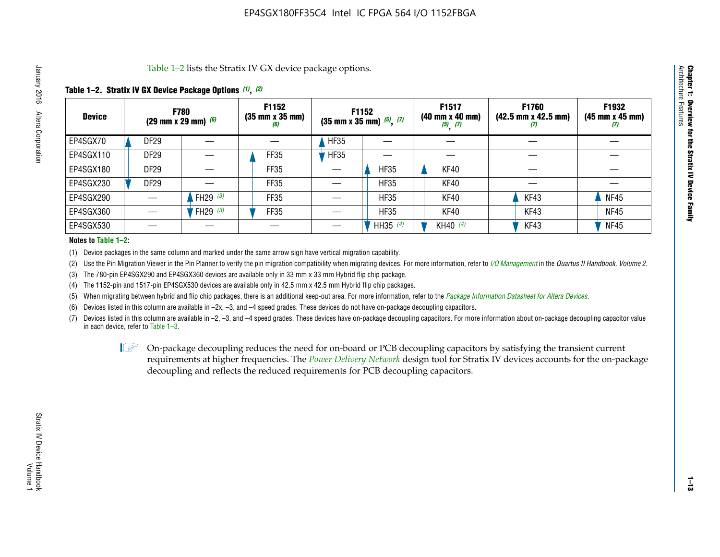Table 1–2 lists the Stratix IV GX device package options.

#### **Table 1–2. Stratix IV GX Device Package Options** *(1)***,** *(2)*

| <b>Device</b> | (29 mm x 29 mm) $(6)$ | <b>F780</b> | F1152<br>(35 mm x 35 mm)<br>(6) |             | <b>F1152</b><br>$(35$ mm x 35 mm) $(5)$ , $(7)$ | F1517<br>(40 mm x 40 mm)<br>$(5)$ $(7)$ | F1760<br>$(42.5 \text{ mm} \times 42.5 \text{ mm})$<br>Ш | F1932<br>$(45 \, \text{mm} \times 45 \, \text{mm})$<br>$\boldsymbol{U}$ |
|---------------|-----------------------|-------------|---------------------------------|-------------|-------------------------------------------------|-----------------------------------------|----------------------------------------------------------|-------------------------------------------------------------------------|
| EP4SGX70      | DF <sub>29</sub>      |             |                                 | HF35        |                                                 |                                         |                                                          |                                                                         |
| EP4SGX110     | <b>DF29</b>           |             | <b>FF35</b>                     | <b>HF35</b> |                                                 |                                         |                                                          |                                                                         |
| EP4SGX180     | DF29                  |             | FF35                            |             | <b>HF35</b>                                     | KF40                                    |                                                          |                                                                         |
| EP4SGX230     | DF <sub>29</sub>      |             | FF35                            |             | <b>HF35</b>                                     | KF40                                    |                                                          |                                                                         |
| EP4SGX290     |                       | FH29 $(3)$  | <b>FF35</b>                     |             | <b>HF35</b>                                     | KF40                                    | KF43                                                     | <b>NF45</b>                                                             |
| EP4SGX360     |                       | 'FH29 (3)   | FF35                            |             | <b>HF35</b>                                     | KF40                                    | KF43                                                     | <b>NF45</b>                                                             |
| EP4SGX530     |                       |             |                                 |             | HH35 $(4)$                                      | KH40 (4)                                | KF43                                                     | <b>NF45</b>                                                             |

#### **Notes to Table 1–2:**

(1) Device packages in the same column and marked under the same arrow sign have vertical migration capability.

(2) Use the Pin Migration Viewer in the Pin Planner to verify the pin migration compatibility when migrating devices. For more information, refer to *[I/O Management](http://www.altera.com/literature/hb/qts/qts_qii52013.pdf)* in the *Quartus II Handbook, Volume 2*.

(3) The 780-pin EP4SGX290 and EP4SGX360 devices are available only in 33 mm x 33 mm Hybrid flip chip package.

(4) The 1152-pin and 1517-pin EP4SGX530 devices are available only in 42.5 mm x 42.5 mm Hybrid flip chip packages.

(5) When migrating between hybrid and flip chip packages, there is an additional keep-out area. For more information, refer to the *[Package Information Datasheet for Altera Devices](http://www.altera.com/literature/ds/dspkg.pdf)*.

(6) Devices listed in this column are available in –2x, –3, and –4 speed grades. These devices do not have on-package decoupling capacitors.

(7) Devices listed in this column are available in –2, –3, and –4 speed grades. These devices have on-package decoupling capacitors. For more information about on-package decoupling capacitor value in each device, refer to Table 1–3.

 $\mathbb{L}$ s On-package decoupling reduces the need for on-board or PCB decoupling capacitors by satisfying the transient current requirements at higher frequencies. The *[Power Delivery Network](http://www.altera.com/literature/ug/pdn_tool_stxiv.zip)* design tool for Stratix IV devices accounts for the on-package decoupling and reflects the reduced requirements for PCB decoupling capacitors.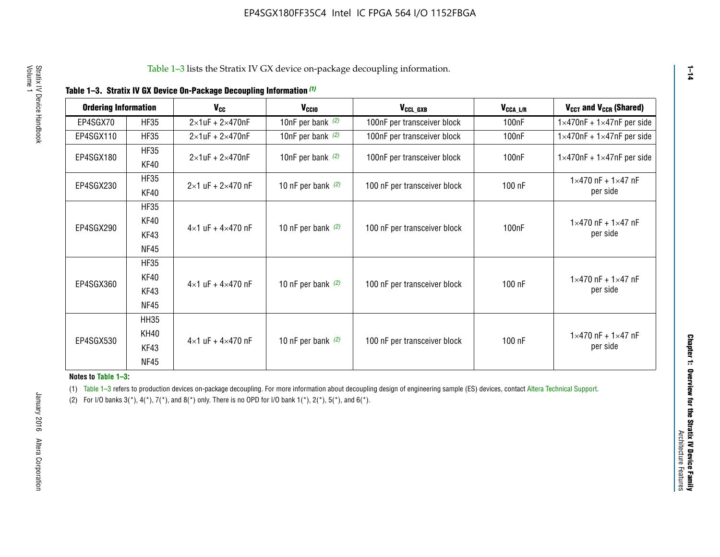|  |  | Table 1-3. Stratix IV GX Device On-Package Decoupling Information (1) |  |  |
|--|--|-----------------------------------------------------------------------|--|--|
|--|--|-----------------------------------------------------------------------|--|--|

| <b>Ordering Information</b> |                            | <b>V<sub>cc</sub></b>               | V <sub>ccio</sub>    | V <sub>CCL GXB</sub>         | V <sub>CCA_L/R</sub> | V <sub>CCT</sub> and V <sub>CCR</sub> (Shared)   |
|-----------------------------|----------------------------|-------------------------------------|----------------------|------------------------------|----------------------|--------------------------------------------------|
| EP4SGX70                    | <b>HF35</b>                | $2\times1$ uF + $2\times470$ nF     | 10nF per bank $(2)$  | 100nF per transceiver block  | 100 <sub>n</sub> F   | $1 \times 470$ nF + $1 \times 47$ nF per side    |
| EP4SGX110                   | <b>HF35</b>                | $2\times1$ uF + $2\times470$ nF     | 10nF per bank $(2)$  | 100nF per transceiver block  | 100 <sub>n</sub> F   | $1\times470$ nF + $1\times47$ nF per side        |
| EP4SGX180                   | <b>HF35</b><br>KF40        | $2\times1$ uF + $2\times470$ nF     | 10nF per bank $(2)$  | 100nF per transceiver block  | 100 <sub>nF</sub>    | $1 \times 470$ nF + $1 \times 47$ nF per side    |
| EP4SGX230                   | <b>HF35</b><br>KF40        | $2 \times 1$ uF + $2 \times 470$ nF | 10 nF per bank $(2)$ | 100 nF per transceiver block | 100 nF               | $1 \times 470$ nF + $1 \times 47$ nF<br>per side |
|                             | <b>HF35</b><br><b>KF40</b> |                                     |                      |                              |                      | $1 \times 470$ nF + $1 \times 47$ nF             |
| EP4SGX290                   | KF43<br><b>NF45</b>        | $4 \times 1$ uF + $4 \times 470$ nF | 10 nF per bank $(2)$ | 100 nF per transceiver block | 100nF                | per side                                         |
|                             | <b>HF35</b><br>KF40        |                                     |                      |                              |                      | $1 \times 470$ nF + $1 \times 47$ nF             |
| EP4SGX360                   | KF43<br><b>NF45</b>        | $4 \times 1$ uF + $4 \times 470$ nF | 10 nF per bank $(2)$ | 100 nF per transceiver block | 100 nF               | per side                                         |
|                             | <b>HH35</b>                |                                     |                      |                              |                      |                                                  |
| EP4SGX530                   | <b>KH40</b><br>KF43        | $4 \times 1$ uF + $4 \times 470$ nF | 10 nF per bank $(2)$ | 100 nF per transceiver block | 100 nF               | $1 \times 470$ nF + $1 \times 47$ nF<br>per side |
|                             | <b>NF45</b>                |                                     |                      |                              |                      |                                                  |

**Notes to Table 1–3:**

(1) Table 1-3 refers to production devices on-package decoupling. For more information about decoupling design of engineering sample (ES) devices, contact [Altera Technical Support](http://mysupport.altera.com/eservice/login.asp).

(2) For I/O banks  $3(*)$ ,  $4(*)$ ,  $7(*)$ , and  $8(*)$  only. There is no OPD for I/O bank  $1(*)$ ,  $2(*)$ ,  $5(*)$ , and  $6(*)$ .

**1–14**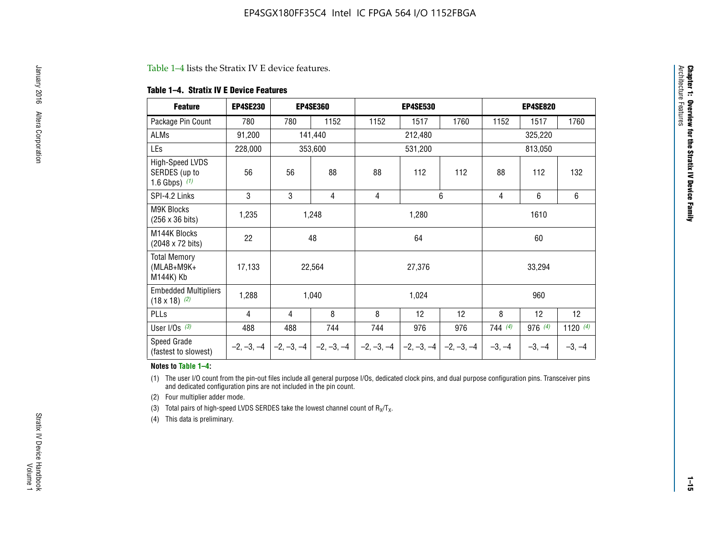#### Table 1–4 lists the Stratix IV E device features.

#### **Table 1–4. Stratix IV E Device Features**

| <b>Feature</b>                                      | <b>EP4SE230</b> |     | <b>EP4SE360</b>                          |              | <b>EP4SE530</b> |              |          | <b>EP4SE820</b> |            |
|-----------------------------------------------------|-----------------|-----|------------------------------------------|--------------|-----------------|--------------|----------|-----------------|------------|
| Package Pin Count                                   | 780             | 780 | 1152                                     | 1152         | 1517            | 1760         | 1152     | 1517            | 1760       |
| ALMs                                                | 91,200          |     | 141,440                                  |              | 212,480         |              | 325,220  |                 |            |
| LEs                                                 | 228,000         |     | 353,600                                  |              | 531,200         |              |          |                 |            |
| High-Speed LVDS<br>SERDES (up to<br>1.6 Gbps) $(1)$ | 56              | 56  | 88                                       | 88           | 112             | 112          | 88       | 112             | 132        |
| SPI-4.2 Links                                       | 3               | 3   | 4                                        | 4            |                 | 6            | 4        | 6               | 6          |
| <b>M9K Blocks</b><br>(256 x 36 bits)                | 1,235           |     | 1,248                                    |              | 1,280           |              |          | 1610            |            |
| M144K Blocks<br>(2048 x 72 bits)                    | 22              |     | 48                                       |              | 64              |              |          | 60              |            |
| <b>Total Memory</b><br>$(MLAB+M9K+$<br>M144K) Kb    | 17,133          |     | 22,564                                   |              | 27,376          |              |          | 33,294          |            |
| <b>Embedded Multipliers</b><br>$(18 \times 18)$ (2) | 1,288           |     | 1,040                                    |              | 1,024           |              |          | 960             |            |
| PLLs                                                | 4               | 4   | 8                                        | 8            | 12              | 12           | 8        | 12              | 12         |
| User I/Os $(3)$                                     | 488             | 488 | 744                                      | 744          | 976             | 976          | 744(4)   | 976 (4)         | 1120 $(4)$ |
| Speed Grade<br>(fastest to slowest)                 |                 |     | $-2, -3, -4$ $ -2, -3, -4$ $ -2, -3, -4$ | $-2, -3, -4$ | $-2, -3, -4$    | $-2, -3, -4$ | $-3, -4$ | $-3, -4$        | $-3, -4$   |

#### **Notes to Table 1–4:**

(1) The user I/O count from the pin-out files include all general purpose I/Os, dedicated clock pins, and dual purpose configuration pins. Transceiver pins and dedicated configuration pins are not included in the pin count.

(2) Four multiplier adder mode.

(3) Total pairs of high-speed LVDS SERDES take the lowest channel count of  $R_X/T_X$ .

(4) This data is preliminary.

**Chapter 1: Overview for the Stratix IV Device Family**

**Chapter 1: Overview for the Stratix IV Device Family**<br>Architecture Faatures

Architecture Features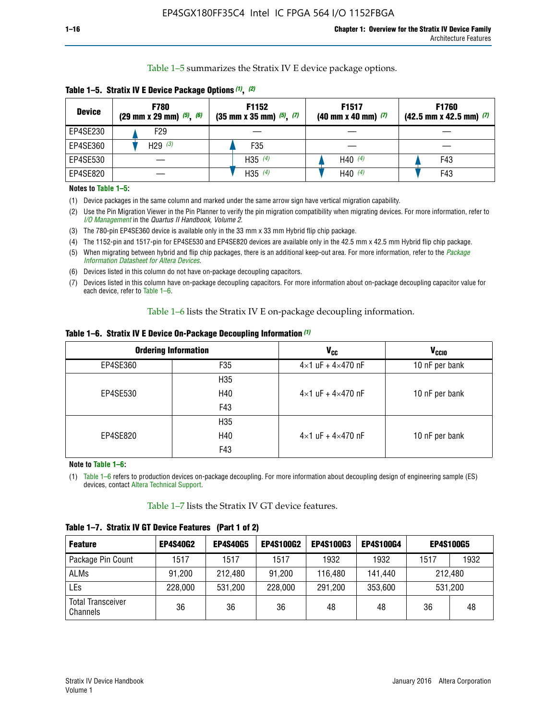Table 1–5 summarizes the Stratix IV E device package options.

| <b>Device</b> | <b>F780</b><br>$(29 \text{ mm} \times 29 \text{ mm})$ $(5)$ , $(6)$ | F1152<br>$(35 \text{ mm} \times 35 \text{ mm})$ $(5)$ $(7)$ | F <sub>1517</sub><br>$(40 \text{ mm} \times 40 \text{ mm})$ (7) | <b>F1760</b><br>$(42.5$ mm x 42.5 mm) $(7)$ |
|---------------|---------------------------------------------------------------------|-------------------------------------------------------------|-----------------------------------------------------------------|---------------------------------------------|
| EP4SE230      | F <sub>29</sub>                                                     |                                                             |                                                                 |                                             |
| EP4SE360      | H29 $(3)$                                                           | F35                                                         |                                                                 |                                             |
| EP4SE530      |                                                                     | H35 $(4)$                                                   | H40 $(4)$                                                       | F43                                         |
| EP4SE820      |                                                                     | H35 $(4)$                                                   | H40 $(4)$                                                       | F43                                         |

**Table 1–5. Stratix IV E Device Package Options** *(1)***,** *(2)*

#### **Notes to Table 1–5:**

(1) Device packages in the same column and marked under the same arrow sign have vertical migration capability.

(2) Use the Pin Migration Viewer in the Pin Planner to verify the pin migration compatibility when migrating devices. For more information, refer to *[I/O Management](http://www.altera.com/literature/hb/qts/qts_qii52013.pdf)* in the *Quartus II Handbook, Volume 2*.

(3) The 780-pin EP4SE360 device is available only in the 33 mm x 33 mm Hybrid flip chip package.

(4) The 1152-pin and 1517-pin for EP4SE530 and EP4SE820 devices are available only in the 42.5 mm x 42.5 mm Hybrid flip chip package.

(5) When migrating between hybrid and flip chip packages, there is an additional keep-out area. For more information, refer to the *[Package](http://www.altera.com/literature/ds/dspkg.pdf)  [Information Datasheet for Altera Devices](http://www.altera.com/literature/ds/dspkg.pdf)*.

(6) Devices listed in this column do not have on-package decoupling capacitors.

(7) Devices listed in this column have on-package decoupling capacitors. For more information about on-package decoupling capacitor value for each device, refer to Table 1–6.

Table 1–6 lists the Stratix IV E on-package decoupling information.

| Table 1–6. Stratix IV E Device On-Package Decoupling Information (1) |  |  |  |  |  |
|----------------------------------------------------------------------|--|--|--|--|--|
|----------------------------------------------------------------------|--|--|--|--|--|

|          | <b>Ordering Information</b> | V <sub>cc</sub>                     | <b>V<sub>CCIO</sub></b> |
|----------|-----------------------------|-------------------------------------|-------------------------|
| EP4SE360 | F <sub>35</sub>             | $4 \times 1$ uF + $4 \times 470$ nF | 10 nF per bank          |
|          | H35                         |                                     |                         |
| EP4SE530 | H40                         | $4\times1$ uF + $4\times470$ nF     | 10 nF per bank          |
|          | F43                         |                                     |                         |
|          | H35                         |                                     |                         |
| EP4SE820 | H40                         | $4\times1$ uF + $4\times470$ nF     | 10 nF per bank          |
|          | F43                         |                                     |                         |

**Note to Table 1–6:**

(1) Table 1–6 refers to production devices on-package decoupling. For more information about decoupling design of engineering sample (ES) devices, contact [Altera Technical Support](http://mysupport.altera.com/eservice/login.asp).

Table 1–7 lists the Stratix IV GT device features.

| <b>Feature</b>                       | <b>EP4S40G2</b> | <b>EP4S40G5</b> | <b>EP4S100G2</b> | <b>EP4S100G3</b> | <b>EP4S100G4</b> | <b>EP4S100G5</b> |         |
|--------------------------------------|-----------------|-----------------|------------------|------------------|------------------|------------------|---------|
| Package Pin Count                    | 1517            | 1517            | 1517             | 1932             | 1932             | 1517             | 1932    |
| <b>ALMs</b>                          | 91,200          | 212,480         | 91,200           | 116,480          | 141,440          |                  | 212.480 |
| LEs                                  | 228,000         | 531,200         | 228,000          | 291,200          | 353,600          |                  | 531,200 |
| <b>Total Transceiver</b><br>Channels | 36              | 36              | 36               | 48               | 48               | 36               | 48      |

**Table 1–7. Stratix IV GT Device Features (Part 1 of 2)**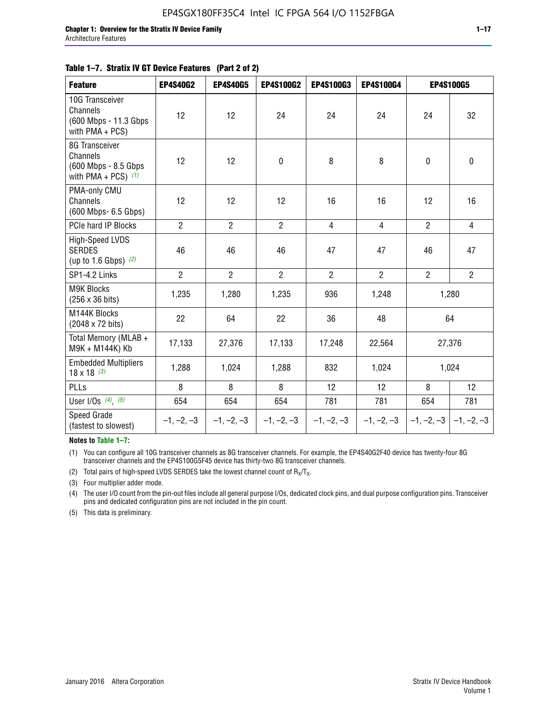#### **Table 1–7. Stratix IV GT Device Features (Part 2 of 2)**

| <b>Feature</b>                                                                 | <b>EP4S40G2</b> | <b>EP4S40G5</b> | <b>EP4S100G2</b> | <b>EP4S100G3</b> | <b>EP4S100G4</b> |                | EP4S100G5                 |
|--------------------------------------------------------------------------------|-----------------|-----------------|------------------|------------------|------------------|----------------|---------------------------|
| 10G Transceiver<br><b>Channels</b><br>(600 Mbps - 11.3 Gbps<br>with PMA + PCS) | 12              | 12              | 24               | 24               | 24               | 24             | 32                        |
| 8G Transceiver<br>Channels<br>(600 Mbps - 8.5 Gbps<br>with PMA + PCS) $(1)$    | 12              | 12              | $\pmb{0}$        | 8                | 8                | $\mathbf 0$    | $\pmb{0}$                 |
| PMA-only CMU<br>Channels<br>(600 Mbps- 6.5 Gbps)                               | 12              | 12              | 12               | 16               | 16               | 12             | 16                        |
| PCIe hard IP Blocks                                                            | $\overline{2}$  | $\overline{2}$  | $\overline{2}$   | $\overline{4}$   | $\overline{4}$   | $\overline{2}$ | $\overline{4}$            |
| High-Speed LVDS<br><b>SERDES</b><br>(up to 1.6 Gbps) $(2)$                     | 46              | 46              | 46               | 47               | 47               | 46             | 47                        |
| SP1-4.2 Links                                                                  | $\overline{2}$  | $\overline{2}$  | $\overline{2}$   | $\overline{2}$   | $\overline{2}$   | $\overline{2}$ | $\overline{2}$            |
| <b>M9K Blocks</b><br>(256 x 36 bits)                                           | 1,235           | 1,280           | 1,235            | 936              | 1,248            |                | 1,280                     |
| M144K Blocks<br>(2048 x 72 bits)                                               | 22              | 64              | 22               | 36               | 48               |                | 64                        |
| Total Memory (MLAB +<br>M9K + M144K) Kb                                        | 17,133          | 27,376          | 17,133           | 17,248           | 22,564           |                | 27,376                    |
| <b>Embedded Multipliers</b><br>$18 \times 18^{(3)}$                            | 1,288           | 1,024           | 1,288            | 832              | 1,024            |                | 1,024                     |
| PLLs                                                                           | 8               | 8               | 8                | 12               | 12               | 8              | 12                        |
| User I/Os $(4)$ , $(5)$                                                        | 654             | 654             | 654              | 781              | 781              | 654            | 781                       |
| Speed Grade<br>(fastest to slowest)                                            | $-1, -2, -3$    | $-1, -2, -3$    | $-1, -2, -3$     | $-1, -2, -3$     | $-1, -2, -3$     |                | $-1, -2, -3$ $-1, -2, -3$ |

**Notes to Table 1–7:**

(1) You can configure all 10G transceiver channels as 8G transceiver channels. For example, the EP4S40G2F40 device has twenty-four 8G transceiver channels and the EP4S100G5F45 device has thirty-two 8G transceiver channels.

(2) Total pairs of high-speed LVDS SERDES take the lowest channel count of  $R_X/T_X$ .

(3) Four multiplier adder mode.

(4) The user I/O count from the pin-out files include all general purpose I/Os, dedicated clock pins, and dual purpose configuration pins. Transceiver pins and dedicated configuration pins are not included in the pin count.

(5) This data is preliminary.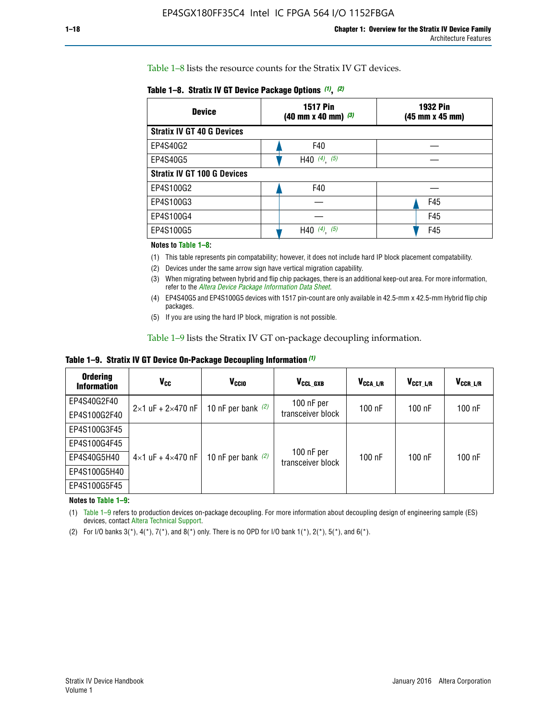Table 1–8 lists the resource counts for the Stratix IV GT devices.

| <b>Device</b>                      | <b>1517 Pin</b><br><b>1932 Pin</b><br>$(40 \text{ mm} \times 40 \text{ mm})$ $(3)$<br>(45 mm x 45 mm) |     |  |
|------------------------------------|-------------------------------------------------------------------------------------------------------|-----|--|
| <b>Stratix IV GT 40 G Devices</b>  |                                                                                                       |     |  |
| EP4S40G2                           | F40                                                                                                   |     |  |
| EP4S40G5                           | H40 $(4)$ , $(5)$                                                                                     |     |  |
| <b>Stratix IV GT 100 G Devices</b> |                                                                                                       |     |  |
| EP4S100G2                          | F40                                                                                                   |     |  |
| EP4S100G3                          |                                                                                                       | F45 |  |
| EP4S100G4                          |                                                                                                       | F45 |  |
| EP4S100G5                          | (5)<br>$(4)$ ,<br>H40                                                                                 | F45 |  |

#### **Notes to Table 1–8:**

(1) This table represents pin compatability; however, it does not include hard IP block placement compatability.

- (2) Devices under the same arrow sign have vertical migration capability.
- (3) When migrating between hybrid and flip chip packages, there is an additional keep-out area. For more information, refer to the *[Altera Device Package Information Data Sheet](http://www.altera.com/literature/ds/dspkg.pdf)*.
- (4) EP4S40G5 and EP4S100G5 devices with 1517 pin-count are only available in 42.5-mm x 42.5-mm Hybrid flip chip packages.
- (5) If you are using the hard IP block, migration is not possible.

Table 1–9 lists the Stratix IV GT on-package decoupling information.

**Table 1–9. Stratix IV GT Device On-Package Decoupling Information** *(1)*

| <b>Ordering</b><br><b>Information</b> | Vcc                                 | <b>V<sub>CCIO</sub></b> | V <sub>CCL GXB</sub>            | V <sub>CCA L/R</sub> | V <sub>CCT L/R</sub> | $V_{CCR\_L/R}$ |
|---------------------------------------|-------------------------------------|-------------------------|---------------------------------|----------------------|----------------------|----------------|
| EP4S40G2F40                           | $2 \times 1$ uF + $2 \times 470$ nF | 10 nF per bank $(2)$    | 100 nF per<br>transceiver block | $100$ nF             | $100$ nF             | $100$ nF       |
| EP4S100G2F40                          |                                     |                         |                                 |                      |                      |                |
| EP4S100G3F45                          |                                     | 10 nF per bank $(2)$    | 100 nF per<br>transceiver block | $100$ nF             | $100$ nF             | $100$ nF       |
| EP4S100G4F45                          |                                     |                         |                                 |                      |                      |                |
| EP4S40G5H40                           | $4\times1$ uF + $4\times470$ nF     |                         |                                 |                      |                      |                |
| EP4S100G5H40                          |                                     |                         |                                 |                      |                      |                |
| EP4S100G5F45                          |                                     |                         |                                 |                      |                      |                |

**Notes to Table 1–9:**

(1) Table 1–9 refers to production devices on-package decoupling. For more information about decoupling design of engineering sample (ES) devices, contact [Altera Technical Support](http://mysupport.altera.com/eservice/login.asp).

(2) For I/O banks  $3(*)$ ,  $4(*)$ ,  $7(*)$ , and  $8(*)$  only. There is no OPD for I/O bank  $1(*)$ ,  $2(*)$ ,  $5(*)$ , and  $6(*)$ .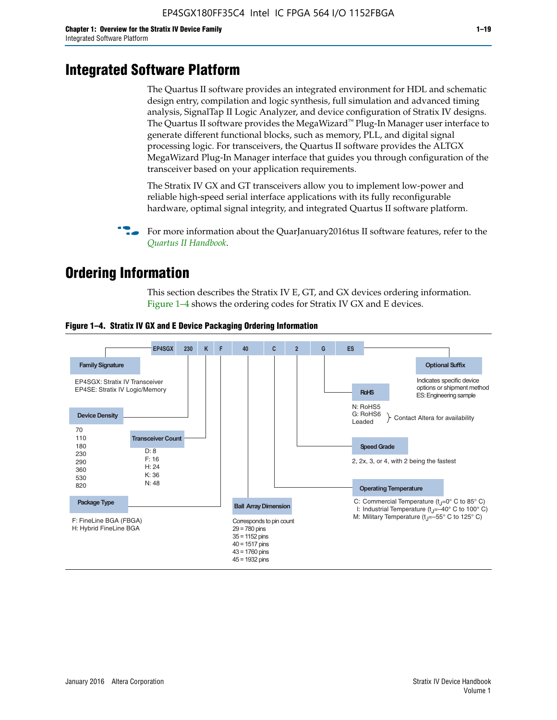# **Integrated Software Platform**

The Quartus II software provides an integrated environment for HDL and schematic design entry, compilation and logic synthesis, full simulation and advanced timing analysis, SignalTap II Logic Analyzer, and device configuration of Stratix IV designs. The Quartus II software provides the MegaWizard<sup> $M$ </sup> Plug-In Manager user interface to generate different functional blocks, such as memory, PLL, and digital signal processing logic. For transceivers, the Quartus II software provides the ALTGX MegaWizard Plug-In Manager interface that guides you through configuration of the transceiver based on your application requirements.

The Stratix IV GX and GT transceivers allow you to implement low-power and reliable high-speed serial interface applications with its fully reconfigurable hardware, optimal signal integrity, and integrated Quartus II software platform.

For more information about the QuarJanuary2016tus II software features, refer to the *[Quartus II Handbook](http://www.altera.com/literature/lit-qts.jsp)*.

# **Ordering Information**

This section describes the Stratix IV E, GT, and GX devices ordering information. Figure 1–4 shows the ordering codes for Stratix IV GX and E devices.



#### **Figure 1–4. Stratix IV GX and E Device Packaging Ordering Information**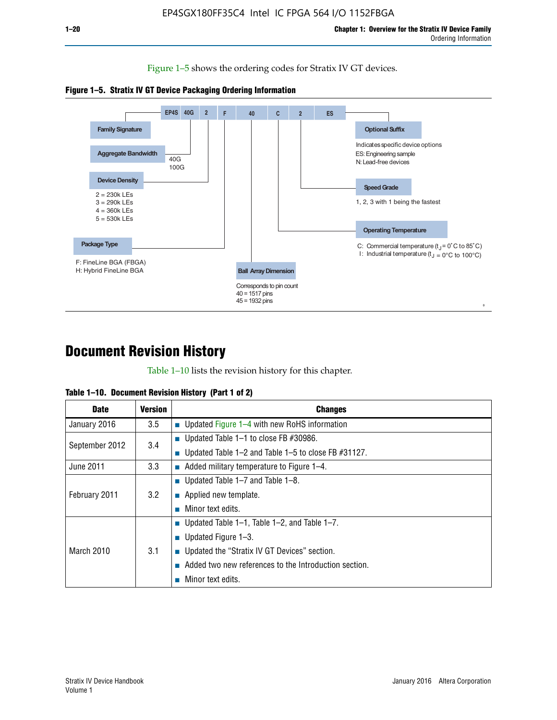Figure 1–5 shows the ordering codes for Stratix IV GT devices.





# **Document Revision History**

Table 1–10 lists the revision history for this chapter.

| Table 1–10. Document Revision History (Part 1 of 2) |  |  |  |  |  |
|-----------------------------------------------------|--|--|--|--|--|
|-----------------------------------------------------|--|--|--|--|--|

| <b>Date</b>       | <b>Version</b> | <b>Changes</b>                                              |
|-------------------|----------------|-------------------------------------------------------------|
| January 2016      | 3.5            | ■ Updated Figure 1–4 with new RoHS information              |
| September 2012    | 3.4            | ■ Updated Table 1–1 to close FB $#30986$ .                  |
|                   |                | Updated Table $1-2$ and Table $1-5$ to close FB $\#31127$ . |
| June 2011         | 3.3            | $\blacksquare$ Added military temperature to Figure 1–4.    |
| February 2011     |                | ■ Updated Table 1–7 and Table 1–8.                          |
|                   | 3.2            | $\blacksquare$ Applied new template.                        |
|                   |                | Minor text edits.                                           |
| <b>March 2010</b> |                | <b>Updated Table 1–1, Table 1–2, and Table 1–7.</b>         |
|                   |                | <b>U</b> Updated Figure 1–3.                                |
|                   | 3.1            | ■ Updated the "Stratix IV GT Devices" section.              |
|                   |                | Added two new references to the Introduction section.       |
|                   |                | Minor text edits.                                           |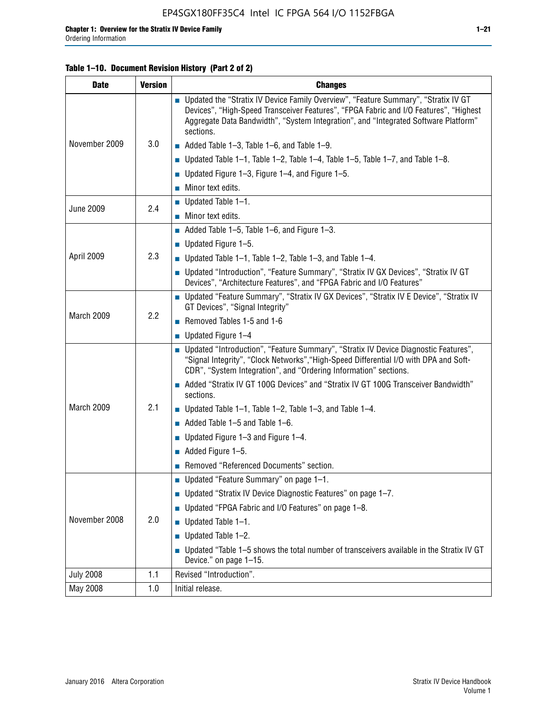#### **Table 1–10. Document Revision History (Part 2 of 2)**

| <b>Date</b>      | <b>Version</b> | <b>Changes</b>                                                                                                                                                                                                                                                                    |  |  |
|------------------|----------------|-----------------------------------------------------------------------------------------------------------------------------------------------------------------------------------------------------------------------------------------------------------------------------------|--|--|
|                  |                | ■ Updated the "Stratix IV Device Family Overview", "Feature Summary", "Stratix IV GT<br>Devices", "High-Speed Transceiver Features", "FPGA Fabric and I/O Features", "Highest<br>Aggregate Data Bandwidth", "System Integration", and "Integrated Software Platform"<br>sections. |  |  |
| November 2009    | 3.0            | $\blacksquare$ Added Table 1-3, Table 1-6, and Table 1-9.                                                                                                                                                                                                                         |  |  |
|                  |                | $\blacksquare$ Updated Table 1-1, Table 1-2, Table 1-4, Table 1-5, Table 1-7, and Table 1-8.                                                                                                                                                                                      |  |  |
|                  |                | ■ Updated Figure 1–3, Figure 1–4, and Figure 1–5.                                                                                                                                                                                                                                 |  |  |
|                  |                | $\blacksquare$ Minor text edits.                                                                                                                                                                                                                                                  |  |  |
| <b>June 2009</b> | 2.4            | $\blacksquare$ Updated Table 1-1.                                                                                                                                                                                                                                                 |  |  |
|                  |                | Minor text edits.                                                                                                                                                                                                                                                                 |  |  |
|                  |                | $\blacksquare$ Added Table 1–5, Table 1–6, and Figure 1–3.                                                                                                                                                                                                                        |  |  |
|                  |                | $\blacksquare$ Updated Figure 1-5.                                                                                                                                                                                                                                                |  |  |
| April 2009       | 2.3            | Updated Table $1-1$ , Table $1-2$ , Table $1-3$ , and Table $1-4$ .                                                                                                                                                                                                               |  |  |
|                  |                | ■ Updated "Introduction", "Feature Summary", "Stratix IV GX Devices", "Stratix IV GT<br>Devices", "Architecture Features", and "FPGA Fabric and I/O Features"                                                                                                                     |  |  |
|                  | 2.2            | ■ Updated "Feature Summary", "Stratix IV GX Devices", "Stratix IV E Device", "Stratix IV<br>GT Devices", "Signal Integrity"                                                                                                                                                       |  |  |
| March 2009       |                | Removed Tables 1-5 and 1-6                                                                                                                                                                                                                                                        |  |  |
|                  |                | Updated Figure 1-4                                                                                                                                                                                                                                                                |  |  |
|                  |                | ■ Updated "Introduction", "Feature Summary", "Stratix IV Device Diagnostic Features",<br>"Signal Integrity", "Clock Networks", "High-Speed Differential I/O with DPA and Soft-<br>CDR", "System Integration", and "Ordering Information" sections.                                |  |  |
|                  |                | Added "Stratix IV GT 100G Devices" and "Stratix IV GT 100G Transceiver Bandwidth"<br>sections.                                                                                                                                                                                    |  |  |
| March 2009       | 2.1            | <b>Updated Table 1–1, Table 1–2, Table 1–3, and Table 1–4.</b>                                                                                                                                                                                                                    |  |  |
|                  |                | $\blacksquare$ Added Table 1-5 and Table 1-6.                                                                                                                                                                                                                                     |  |  |
|                  |                | ■ Updated Figure $1-3$ and Figure $1-4$ .                                                                                                                                                                                                                                         |  |  |
|                  |                | $\blacksquare$ Added Figure 1-5.                                                                                                                                                                                                                                                  |  |  |
|                  |                | Removed "Referenced Documents" section.                                                                                                                                                                                                                                           |  |  |
|                  | 2.0            | Updated "Feature Summary" on page 1-1.                                                                                                                                                                                                                                            |  |  |
|                  |                | ■ Updated "Stratix IV Device Diagnostic Features" on page 1-7.                                                                                                                                                                                                                    |  |  |
| November 2008    |                | Updated "FPGA Fabric and I/O Features" on page 1-8.                                                                                                                                                                                                                               |  |  |
|                  |                | $\blacksquare$ Updated Table 1-1.                                                                                                                                                                                                                                                 |  |  |
|                  |                | Updated Table 1-2.                                                                                                                                                                                                                                                                |  |  |
|                  |                | Updated "Table 1-5 shows the total number of transceivers available in the Stratix IV GT<br>Device." on page 1-15.                                                                                                                                                                |  |  |
| <b>July 2008</b> | 1.1            | Revised "Introduction".                                                                                                                                                                                                                                                           |  |  |
| May 2008         | 1.0            | Initial release.                                                                                                                                                                                                                                                                  |  |  |